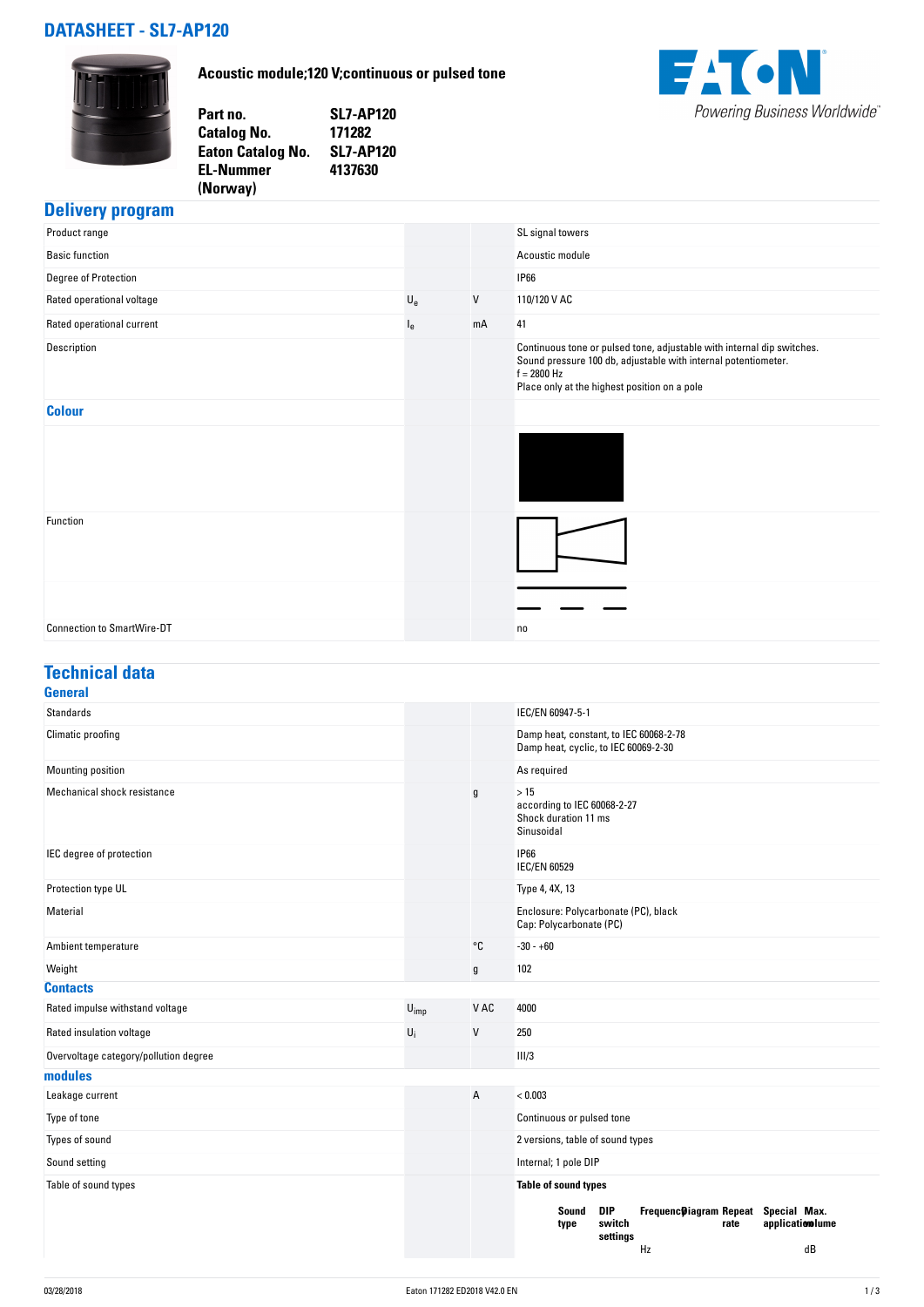## **DATASHEET - SL7-AP120**

**Acoustic module;120 V;continuous or pulsed tone**





#### **Delivery program**

| Product range                     |                           |    | SL signal towers                                                                                                                                                                                          |
|-----------------------------------|---------------------------|----|-----------------------------------------------------------------------------------------------------------------------------------------------------------------------------------------------------------|
| <b>Basic function</b>             |                           |    | Acoustic module                                                                                                                                                                                           |
| Degree of Protection              |                           |    | <b>IP66</b>                                                                                                                                                                                               |
| Rated operational voltage         | $\mathsf{U}_{\mathrm{e}}$ | V  | 110/120 V AC                                                                                                                                                                                              |
| Rated operational current         | $I_{e}$                   | mA | 41                                                                                                                                                                                                        |
| Description                       |                           |    | Continuous tone or pulsed tone, adjustable with internal dip switches.<br>Sound pressure 100 db, adjustable with internal potentiometer.<br>$f = 2800$ Hz<br>Place only at the highest position on a pole |
| <b>Colour</b>                     |                           |    |                                                                                                                                                                                                           |
|                                   |                           |    |                                                                                                                                                                                                           |
| Function                          |                           |    |                                                                                                                                                                                                           |
|                                   |                           |    |                                                                                                                                                                                                           |
| <b>Connection to SmartWire-DT</b> |                           |    | no                                                                                                                                                                                                        |

## **Technical data**

| <b>General</b>                        |                  |      |                                                                                                                           |
|---------------------------------------|------------------|------|---------------------------------------------------------------------------------------------------------------------------|
| <b>Standards</b>                      |                  |      | IEC/EN 60947-5-1                                                                                                          |
| Climatic proofing                     |                  |      | Damp heat, constant, to IEC 60068-2-78<br>Damp heat, cyclic, to IEC 60069-2-30                                            |
| Mounting position                     |                  |      | As required                                                                                                               |
| Mechanical shock resistance           |                  | g    | >15<br>according to IEC 60068-2-27<br>Shock duration 11 ms<br>Sinusoidal                                                  |
| IEC degree of protection              |                  |      | <b>IP66</b><br><b>IEC/EN 60529</b>                                                                                        |
| Protection type UL                    |                  |      | Type 4, 4X, 13                                                                                                            |
| Material                              |                  |      | Enclosure: Polycarbonate (PC), black<br>Cap: Polycarbonate (PC)                                                           |
| Ambient temperature                   |                  | °C   | $-30 - +60$                                                                                                               |
| Weight                                |                  | g    | 102                                                                                                                       |
| <b>Contacts</b>                       |                  |      |                                                                                                                           |
| Rated impulse withstand voltage       | $U_{\text{imp}}$ | V AC | 4000                                                                                                                      |
| Rated insulation voltage              | $U_i$            | V    | 250                                                                                                                       |
| Overvoltage category/pollution degree |                  |      | III/3                                                                                                                     |
| modules                               |                  |      |                                                                                                                           |
| Leakage current                       |                  | A    | < 0.003                                                                                                                   |
| Type of tone                          |                  |      | Continuous or pulsed tone                                                                                                 |
| Types of sound                        |                  |      | 2 versions, table of sound types                                                                                          |
| Sound setting                         |                  |      | Internal; 1 pole DIP                                                                                                      |
| Table of sound types                  |                  |      | Table of sound types                                                                                                      |
|                                       |                  |      | DIP<br>Frequenc@iagram Repeat Special Max.<br>Sound<br>switch<br>application lume<br>rate<br>type<br>settings<br>dB<br>Hz |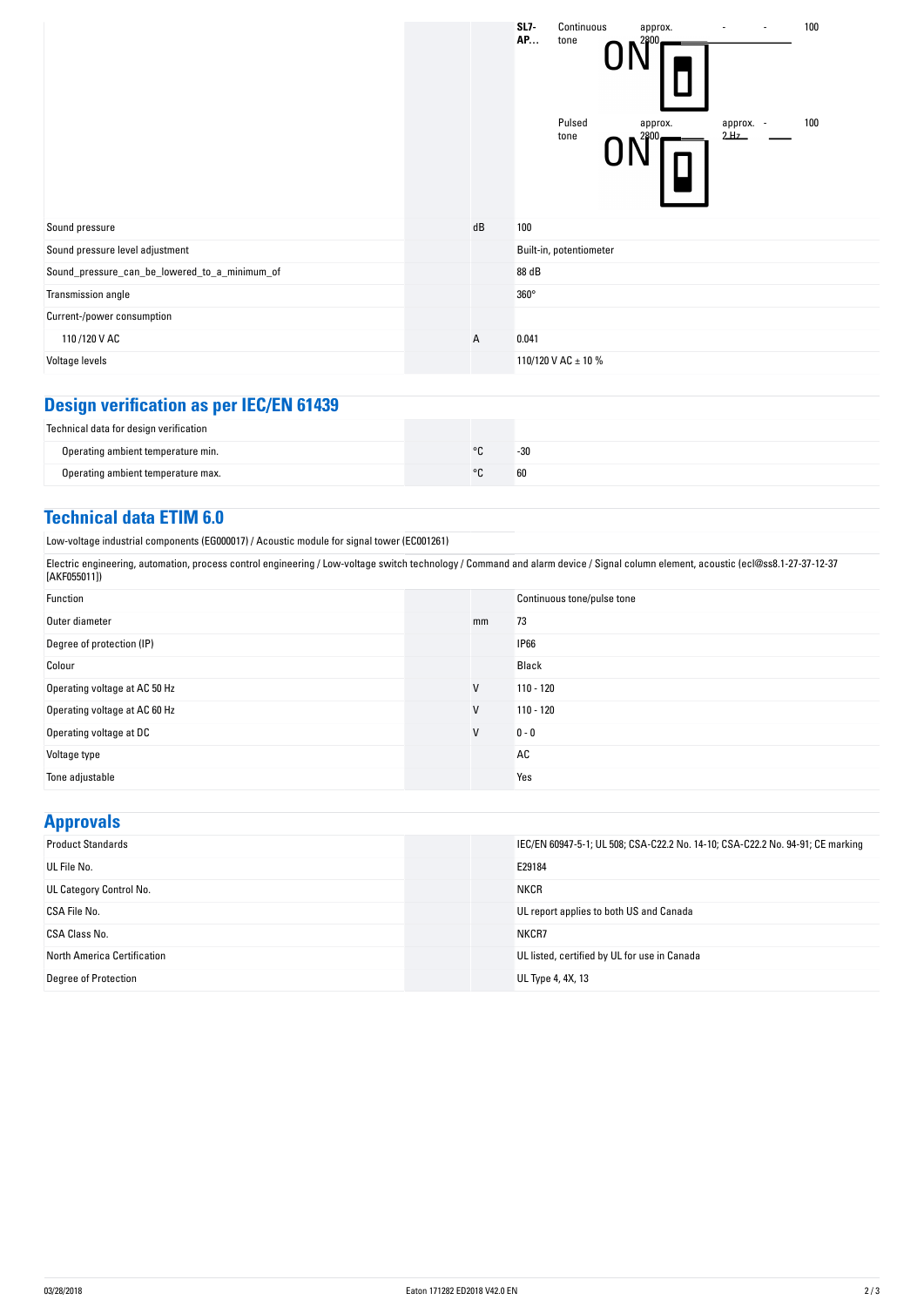|                                               |              | $SL7-$<br>Continuous<br>100<br>approx.<br><b>AP</b><br>tone<br>2800<br>Pulsed<br>100<br>approx. -<br>approx.<br>2Hz<br>2800<br>tone |
|-----------------------------------------------|--------------|-------------------------------------------------------------------------------------------------------------------------------------|
| Sound pressure                                | dB           | 100                                                                                                                                 |
| Sound pressure level adjustment               |              | Built-in, potentiometer                                                                                                             |
| Sound_pressure_can_be_lowered_to_a_minimum_of |              | 88 dB                                                                                                                               |
| Transmission angle                            |              | $360^\circ$                                                                                                                         |
| Current-/power consumption                    |              |                                                                                                                                     |
| 110/120 V AC                                  | $\mathsf{A}$ | 0.041                                                                                                                               |
| Voltage levels                                |              | 110/120 V AC ± 10 %                                                                                                                 |

# **Design verification as per IEC/EN 61439**

| Technical data for design verification |         |       |
|----------------------------------------|---------|-------|
| Operating ambient temperature min.     | $\circ$ | $-30$ |
| Operating ambient temperature max.     | $\circ$ | 60    |

### **Technical data ETIM 6.0**

Low-voltage industrial components (EG000017) / Acoustic module for signal tower (EC001261)

Electric engineering, automation, process control engineering / Low-voltage switch technology / Command and alarm device / Signal column element, acoustic (ecl@ss8.1-27-37-12-37 [AKF055011])

| Function                      |    | Continuous tone/pulse tone |
|-------------------------------|----|----------------------------|
| Outer diameter                | mm | 73                         |
| Degree of protection (IP)     |    | <b>IP66</b>                |
| Colour                        |    | Black                      |
| Operating voltage at AC 50 Hz | V  | $110 - 120$                |
| Operating voltage at AC 60 Hz | V  | $110 - 120$                |
| Operating voltage at DC       | V  | $0 - 0$                    |
| Voltage type                  |    | AC                         |
| Tone adjustable               |    | Yes                        |

## **Approvals**

| <b>Product Standards</b>    | IEC/EN 60947-5-1; UL 508; CSA-C22.2 No. 14-10; CSA-C22.2 No. 94-91; CE marking |
|-----------------------------|--------------------------------------------------------------------------------|
| UL File No.                 | E29184                                                                         |
| UL Category Control No.     | <b>NKCR</b>                                                                    |
| CSA File No.                | UL report applies to both US and Canada                                        |
| CSA Class No.               | NKCR7                                                                          |
| North America Certification | UL listed, certified by UL for use in Canada                                   |
| <b>Degree of Protection</b> | UL Type 4, 4X, 13                                                              |